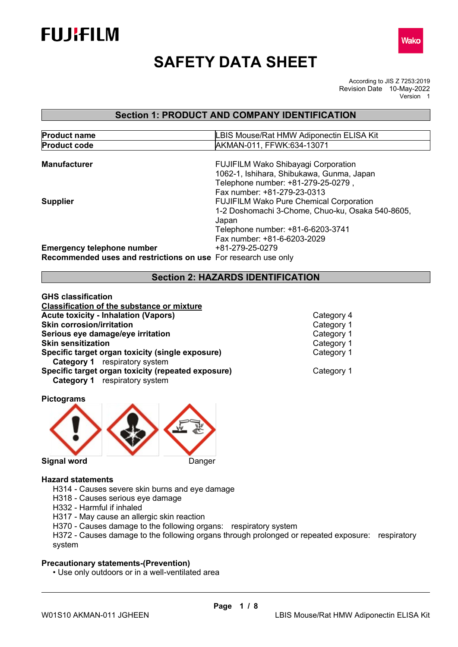



# **SAFETY DATA SHEET**

According to JIS Z 7253:2019 Revision Date 10-May-2022 Version 1

## **Section 1: PRODUCT AND COMPANY IDENTIFICATION**

| <b>Product name</b>                                            | LBIS Mouse/Rat HMW Adiponectin ELISA Kit                                        |
|----------------------------------------------------------------|---------------------------------------------------------------------------------|
| <b>Product code</b>                                            | AKMAN-011, FFWK:634-13071                                                       |
| <b>Manufacturer</b>                                            | <b>FUJIFILM Wako Shibayagi Corporation</b>                                      |
|                                                                | 1062-1, Ishihara, Shibukawa, Gunma, Japan<br>Telephone number: +81-279-25-0279, |
|                                                                | Fax number: +81-279-23-0313                                                     |
| <b>Supplier</b>                                                | <b>FUJIFILM Wako Pure Chemical Corporation</b>                                  |
|                                                                | 1-2 Doshomachi 3-Chome, Chuo-ku, Osaka 540-8605,<br>Japan                       |
|                                                                | Telephone number: +81-6-6203-3741                                               |
|                                                                | Fax number: +81-6-6203-2029                                                     |
| <b>Emergency telephone number</b>                              | +81-279-25-0279                                                                 |
| Recommended uses and restrictions on use For research use only |                                                                                 |

## **Section 2: HAZARDS IDENTIFICATION**

**GHS classification Classification of the substance or mixture Acute toxicity - Inhalation (Vapors)**<br>
Solution Category 1<br>
Category 1 **Skin corrosion/irritation Serious eye damage/eye irritation** Category 1 **Skin sensitization**<br> **Specific target organ toxicity (single exposure)**<br>
Category 1 **Specific target organ toxicity (single exposure) Category 1** respiratory system **Specific target organ toxicity (repeated exposure) Category 1** Category 1 **Category 1** respiratory system

**Pictograms** 



#### **Hazard statements**

- H314 Causes severe skin burns and eye damage
- H318 Causes serious eye damage
- H332 Harmful if inhaled
- H317 May cause an allergic skin reaction
- H370 Causes damage to the following organs: respiratory system

H372 - Causes damage to the following organs through prolonged or repeated exposure: respiratory system

## **Precautionary statements-(Prevention)**

• Use only outdoors or in a well-ventilated area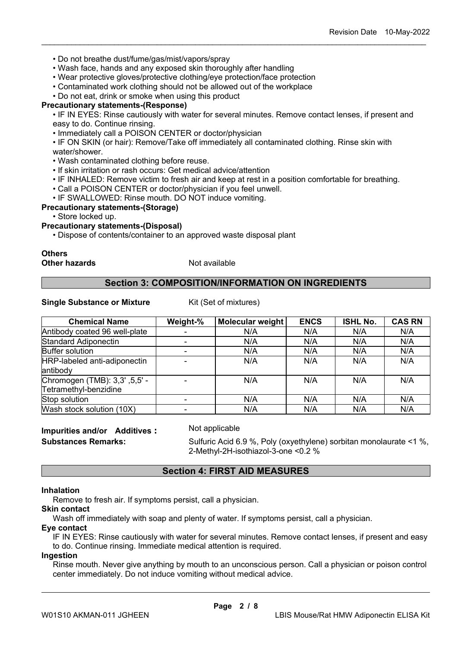- Do not breathe dust/fume/gas/mist/vapors/spray
- Wash face, hands and any exposed skin thoroughly after handling
- Wear protective gloves/protective clothing/eye protection/face protection
- Contaminated work clothing should not be allowed out of the workplace

• Do not eat, drink or smoke when using this product

### **Precautionary statements-(Response)**

• IF IN EYES: Rinse cautiously with water for several minutes. Remove contact lenses, if present and easy to do. Continue rinsing.

\_\_\_\_\_\_\_\_\_\_\_\_\_\_\_\_\_\_\_\_\_\_\_\_\_\_\_\_\_\_\_\_\_\_\_\_\_\_\_\_\_\_\_\_\_\_\_\_\_\_\_\_\_\_\_\_\_\_\_\_\_\_\_\_\_\_\_\_\_\_\_\_\_\_\_\_\_\_\_\_\_\_\_\_\_\_\_\_\_\_

• Immediately call a POISON CENTER or doctor/physician

• IF ON SKIN (or hair): Remove/Take off immediately all contaminated clothing. Rinse skin with water/shower.

- Wash contaminated clothing before reuse.
- If skin irritation or rash occurs: Get medical advice/attention
- IF INHALED: Remove victim to fresh air and keep at rest in a position comfortable for breathing.
- Call a POISON CENTER or doctor/physician if you feel unwell.
- IF SWALLOWED: Rinse mouth. DO NOT induce vomiting.

## **Precautionary statements-(Storage)**

• Store locked up.

#### **Precautionary statements-(Disposal)**

• Dispose of contents/container to an approved waste disposal plant

#### **Others Other hazards** Not available

## **Section 3: COMPOSITION/INFORMATION ON INGREDIENTS**

### **Single Substance or Mixture** Kit (Set of mixtures)

| <b>Chemical Name</b>          | Weight-% | Molecular weight | <b>ENCS</b> | <b>ISHL No.</b> | <b>CAS RN</b> |
|-------------------------------|----------|------------------|-------------|-----------------|---------------|
| Antibody coated 96 well-plate |          | N/A              | N/A         | N/A             | N/A           |
| Standard Adiponectin          |          | N/A              | N/A         | N/A             | N/A           |
| <b>Buffer solution</b>        |          | N/A              | N/A         | N/A             | N/A           |
| HRP-labeled anti-adiponectin  |          | N/A              | N/A         | N/A             | N/A           |
| antibody                      |          |                  |             |                 |               |
| Chromogen (TMB): 3,3', 5,5' - |          | N/A              | N/A         | N/A             | N/A           |
| Tetramethyl-benzidine         |          |                  |             |                 |               |
| Stop solution                 |          | N/A              | N/A         | N/A             | N/A           |
| Wash stock solution (10X)     |          | N/A              | N/A         | N/A             | N/A           |

# **Impurities and/or Additives:** Not applicable

**Substances Remarks:** Sulfuric Acid 6.9 %, Poly (oxyethylene) sorbitan monolaurate <1 %, 2-Methyl-2H-isothiazol-3-one <0.2 %

## **Section 4: FIRST AID MEASURES**

#### **Inhalation**

Remove to fresh air. If symptoms persist, call a physician.

# **Skin contact**

Wash off immediately with soap and plenty of water. If symptoms persist, call a physician.

#### **Eye contact**

IF IN EYES: Rinse cautiously with water for several minutes. Remove contact lenses, if present and easy to do. Continue rinsing. Immediate medical attention is required.

## **Ingestion**

Rinse mouth. Never give anything by mouth to an unconscious person. Call a physician or poison control center immediately. Do not induce vomiting without medical advice.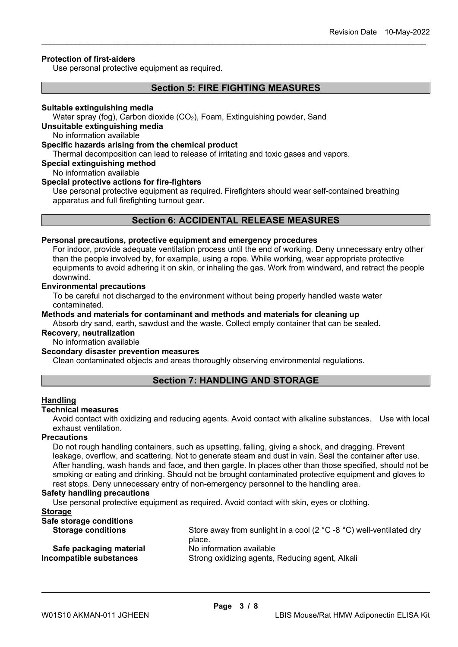## **Protection of first-aiders**

Use personal protective equipment as required.

## **Section 5: FIRE FIGHTING MEASURES**

\_\_\_\_\_\_\_\_\_\_\_\_\_\_\_\_\_\_\_\_\_\_\_\_\_\_\_\_\_\_\_\_\_\_\_\_\_\_\_\_\_\_\_\_\_\_\_\_\_\_\_\_\_\_\_\_\_\_\_\_\_\_\_\_\_\_\_\_\_\_\_\_\_\_\_\_\_\_\_\_\_\_\_\_\_\_\_\_\_\_

#### **Suitable extinguishing media**

Water spray (fog), Carbon dioxide (CO<sub>2</sub>), Foam, Extinguishing powder, Sand

## **Unsuitable extinguishing media**

No information available

#### **Specific hazards arising from the chemical product**

Thermal decomposition can lead to release of irritating and toxic gases and vapors.

## **Special extinguishing method**

No information available

## **Special protective actions for fire-fighters**

Use personal protective equipment as required. Firefighters should wear self-contained breathing apparatus and full firefighting turnout gear.

## **Section 6: ACCIDENTAL RELEASE MEASURES**

## **Personal precautions, protective equipment and emergency procedures**

For indoor, provide adequate ventilation process until the end of working. Deny unnecessary entry other than the people involved by, for example, using a rope. While working, wear appropriate protective equipments to avoid adhering it on skin, or inhaling the gas. Work from windward, and retract the people downwind.

#### **Environmental precautions**

To be careful not discharged to the environment without being properly handled waste water contaminated.

**Methods and materials for contaminant and methods and materials for cleaning up** Absorb dry sand, earth, sawdust and the waste. Collect empty container that can be sealed.

#### **Recovery, neutralization**

No information available

#### **Secondary disaster prevention measures**

Clean contaminated objects and areas thoroughly observing environmental regulations.

## **Section 7: HANDLING AND STORAGE**

#### **Handling**

#### **Technical measures**

Avoid contact with oxidizing and reducing agents. Avoid contact with alkaline substances. Use with local exhaust ventilation.

#### **Precautions**

Do not rough handling containers, such as upsetting, falling, giving a shock, and dragging. Prevent leakage, overflow, and scattering. Not to generate steam and dust in vain. Seal the container after use. After handling, wash hands and face, and then gargle. In places other than those specified, should not be smoking or eating and drinking. Should not be brought contaminated protective equipment and gloves to rest stops. Deny unnecessary entry of non-emergency personnel to the handling area.

#### **Safety handling precautions**

Use personal protective equipment as required. Avoid contact with skin, eyes or clothing.

## **Storage**

| Safe storage conditions   |                                                                                         |
|---------------------------|-----------------------------------------------------------------------------------------|
| <b>Storage conditions</b> | Store away from sunlight in a cool (2 $^{\circ}$ C -8 $^{\circ}$ C) well-ventilated dry |
|                           | place.                                                                                  |
| Safe packaging material   | No information available                                                                |
| Incompatible substances   | Strong oxidizing agents, Reducing agent, Alkali                                         |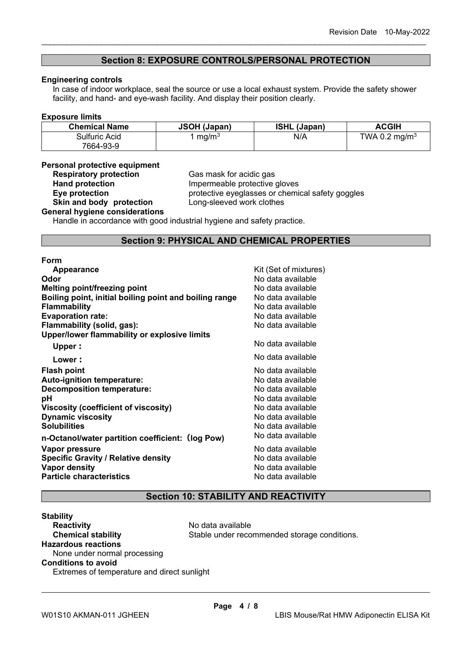## **Section 8: EXPOSURE CONTROLS/PERSONAL PROTECTION**

\_\_\_\_\_\_\_\_\_\_\_\_\_\_\_\_\_\_\_\_\_\_\_\_\_\_\_\_\_\_\_\_\_\_\_\_\_\_\_\_\_\_\_\_\_\_\_\_\_\_\_\_\_\_\_\_\_\_\_\_\_\_\_\_\_\_\_\_\_\_\_\_\_\_\_\_\_\_\_\_\_\_\_\_\_\_\_\_\_\_

#### **Engineering controls**

In case of indoor workplace, seal the source or use a local exhaust system. Provide the safety shower facility, and hand- and eye-wash facility. And display their position clearly.

#### **Exposure limits**

| <b>Chemical Name</b> | <b>JSOH (Japan)</b> | <b>ISHL (Japan)</b> | <b>ACGIH</b>              |
|----------------------|---------------------|---------------------|---------------------------|
| Sulfuric Acid        | mq/m <sup>3</sup>   | N/A                 | TWA 0.2 mg/m <sup>3</sup> |
| 7664-93-9            |                     |                     |                           |

## **Personal protective equipment**

**Respiratory protection**<br> **Respiratory protection**<br> **Cas mask for acidic gas<br>
Impermeable protective Hand protection**<br> **Eye protection**<br> **Eye protection**<br> **Exercise**<br> **Exercise**<br> **Exercise**<br> **Exercise**<br> **Exercise**<br> **Exercise**<br> **Exercise**<br> **Exercise**<br> **Exercise**<br> **Exercise**<br> **Exercise**<br> **Exercise**<br> **Exercise** protective eyeglasses or chemical safety goggles<br>Long-sleeved work clothes

#### **Skin and body protection General hygiene considerations**

Handle in accordance with good industrial hygiene and safety practice.

## **Section 9: PHYSICAL AND CHEMICAL PROPERTIES**

#### **Form**

| <b>Appearance</b>                                      | Kit (Set of mixtures) |
|--------------------------------------------------------|-----------------------|
| Odor                                                   | No data available     |
| <b>Melting point/freezing point</b>                    | No data available     |
| Boiling point, initial boiling point and boiling range | No data available     |
| <b>Flammability</b>                                    | No data available     |
| <b>Evaporation rate:</b>                               | No data available     |
| Flammability (solid, gas):                             | No data available     |
| Upper/lower flammability or explosive limits           |                       |
| Upper:                                                 | No data available     |
| Lower:                                                 | No data available     |
| <b>Flash point</b>                                     | No data available     |
| <b>Auto-ignition temperature:</b>                      | No data available     |
| <b>Decomposition temperature:</b>                      | No data available     |
| рH                                                     | No data available     |
| Viscosity (coefficient of viscosity)                   | No data available     |
| <b>Dynamic viscosity</b>                               | No data available     |
| <b>Solubilities</b>                                    | No data available     |
| n-Octanol/water partition coefficient: (log Pow)       | No data available     |
| Vapor pressure                                         | No data available     |
| <b>Specific Gravity / Relative density</b>             | No data available     |
| <b>Vapor density</b>                                   | No data available     |
| <b>Particle characteristics</b>                        | No data available     |
|                                                        |                       |

## **Section 10: STABILITY AND REACTIVITY**

## **Stability Reactivity**<br> **Chemical stability**<br> **Chemical stability**<br> **Chemical stability**<br> **Chemical stability**<br> **Chemical stability** Stable under recommended storage conditions. **Hazardous reactions** None under normal processing **Conditions to avoid** Extremes of temperature and direct sunlight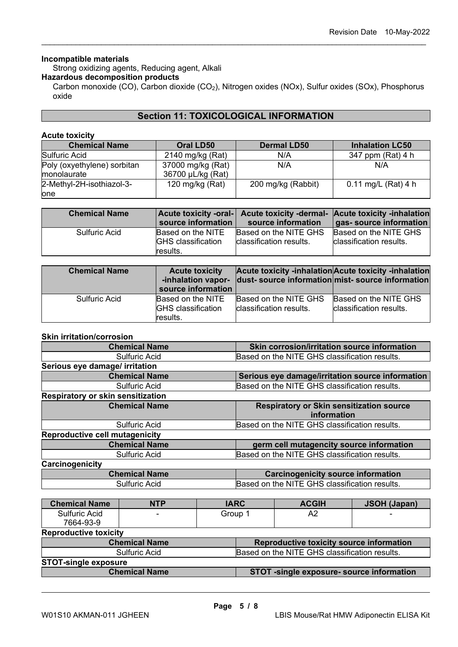## **Incompatible materials**

Strong oxidizing agents, Reducing agent, Alkali

## **Hazardous decomposition products**

Carbon monoxide (CO), Carbon dioxide (CO<sub>2</sub>), Nitrogen oxides (NOx), Sulfur oxides (SOx), Phosphorus oxide

\_\_\_\_\_\_\_\_\_\_\_\_\_\_\_\_\_\_\_\_\_\_\_\_\_\_\_\_\_\_\_\_\_\_\_\_\_\_\_\_\_\_\_\_\_\_\_\_\_\_\_\_\_\_\_\_\_\_\_\_\_\_\_\_\_\_\_\_\_\_\_\_\_\_\_\_\_\_\_\_\_\_\_\_\_\_\_\_\_\_

## **Section 11: TOXICOLOGICAL INFORMATION**

#### **Acute toxicity**

| <b>Chemical Name</b>                               | Oral LD50                              | <b>Dermal LD50</b> | <b>Inhalation LC50</b> |
|----------------------------------------------------|----------------------------------------|--------------------|------------------------|
| Sulfuric Acid                                      | 2140 mg/kg (Rat)                       | N/A                | 347 ppm (Rat) 4 h      |
| Poly (oxyethylene) sorbitan<br><b>Imonolaurate</b> | 37000 mg/kg (Rat)<br>36700 µL/kg (Rat) | N/A                | N/A                    |
| 2-Methyl-2H-isothiazol-3-                          | 120 mg/kg $(Rat)$                      | 200 mg/kg (Rabbit) | 0.11 mg/L (Rat) 4 h    |
| lone                                               |                                        |                    |                        |

| <b>Chemical Name</b> | source information                                         | source information                               | Acute toxicity -oral- Acute toxicity -dermal- Acute toxicity -inhalation<br>gas- source information |
|----------------------|------------------------------------------------------------|--------------------------------------------------|-----------------------------------------------------------------------------------------------------|
| <b>Sulfuric Acid</b> | Based on the NITE<br><b>GHS</b> classification<br>results. | Based on the NITE GHS<br>classification results. | Based on the NITE GHS<br>classification results.                                                    |

| <b>Chemical Name</b> | <b>Acute toxicity</b><br>source information                |                                                  | Acute toxicity -inhalation Acute toxicity -inhalation<br>-inhalation vapor- dust- source information mist- source information |
|----------------------|------------------------------------------------------------|--------------------------------------------------|-------------------------------------------------------------------------------------------------------------------------------|
| <b>Sulfuric Acid</b> | Based on the NITE<br><b>GHS</b> classification<br>results. | Based on the NITE GHS<br>classification results. | Based on the NITE GHS<br>classification results.                                                                              |

#### **Skin irritation/corrosion**

| <b>Chemical Name</b>                     | Skin corrosion/irritation source information     |
|------------------------------------------|--------------------------------------------------|
| <b>Sulfuric Acid</b>                     | Based on the NITE GHS classification results.    |
| Serious eye damage/ irritation           |                                                  |
| <b>Chemical Name</b>                     | Serious eye damage/irritation source information |
| <b>Sulfuric Acid</b>                     | Based on the NITE GHS classification results.    |
| <b>Respiratory or skin sensitization</b> |                                                  |
| <b>Chemical Name</b>                     | <b>Respiratory or Skin sensitization source</b>  |
|                                          | information                                      |
| <b>Sulfuric Acid</b>                     | Based on the NITE GHS classification results.    |
| <b>Reproductive cell mutagenicity</b>    |                                                  |
| <b>Chemical Name</b>                     | germ cell mutagencity source information         |
| <b>Sulfuric Acid</b>                     | Based on the NITE GHS classification results.    |
| Carcinogenicity                          |                                                  |
| <b>Chemical Name</b>                     | <b>Carcinogenicity source information</b>        |
| <b>Sulfuric Acid</b>                     | Based on the NITE GHS classification results.    |

| <b>Chemical Name</b>                                                  | <b>NTP</b>                                                        | <b>IARC</b> |  | <b>ACGIH</b> | <b>JSOH (Japan)</b> |
|-----------------------------------------------------------------------|-------------------------------------------------------------------|-------------|--|--------------|---------------------|
| Sulfuric Acid                                                         |                                                                   | Group 1     |  | A2           |                     |
| 7664-93-9                                                             |                                                                   |             |  |              |                     |
| <b>Reproductive toxicity</b>                                          |                                                                   |             |  |              |                     |
| <b>Chemical Name</b><br>Reproductive toxicity source information      |                                                                   |             |  |              |                     |
| <b>Sulfuric Acid</b><br>Based on the NITE GHS classification results. |                                                                   |             |  |              |                     |
| <b>STOT-single exposure</b>                                           |                                                                   |             |  |              |                     |
|                                                                       | <b>Chemical Name</b><br>STOT -single exposure- source information |             |  |              |                     |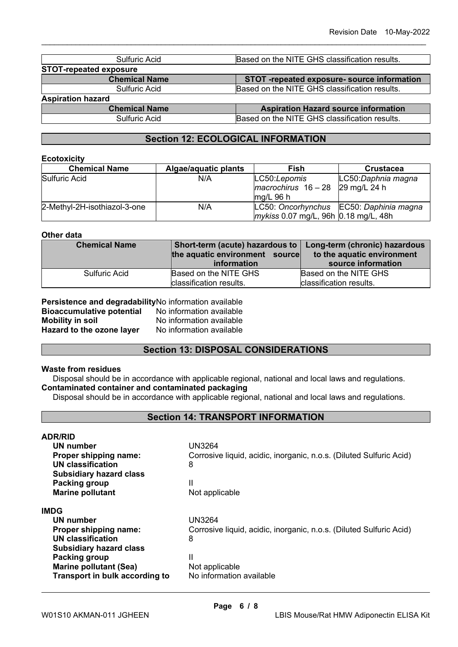| Sulfuric Acid                 | Based on the NITE GHS classification results. |
|-------------------------------|-----------------------------------------------|
| <b>STOT-repeated exposure</b> |                                               |
| <b>Chemical Name</b>          | STOT -repeated exposure- source information   |
| Sulfuric Acid                 | Based on the NITE GHS classification results. |
| <b>Aspiration hazard</b>      |                                               |
| <b>Chemical Name</b>          | <b>Aspiration Hazard source information</b>   |
| Sulfuric Acid                 | Based on the NITE GHS classification results. |

\_\_\_\_\_\_\_\_\_\_\_\_\_\_\_\_\_\_\_\_\_\_\_\_\_\_\_\_\_\_\_\_\_\_\_\_\_\_\_\_\_\_\_\_\_\_\_\_\_\_\_\_\_\_\_\_\_\_\_\_\_\_\_\_\_\_\_\_\_\_\_\_\_\_\_\_\_\_\_\_\_\_\_\_\_\_\_\_\_\_

# **Section 12: ECOLOGICAL INFORMATION**

## **Ecotoxicity**

| <b>Chemical Name</b>         | Algae/aquatic plants | <b>Fish</b>                                 | <b>Crustacea</b>                        |
|------------------------------|----------------------|---------------------------------------------|-----------------------------------------|
| Sulfuric Acid                | N/A                  | LC50:Lepomis                                | LC50:Daphnia magna                      |
|                              |                      | $macrochirus$ 16 - 28                       | 29 mg/L 24 h                            |
|                              |                      | $mq/L$ 96 h                                 |                                         |
| 2-Methyl-2H-isothiazol-3-one | N/A                  |                                             | LC50: Oncorhynchus EC50: Daphinia magna |
|                              |                      | <i>mykiss</i> 0.07 mg/L, 96h 0.18 mg/L, 48h |                                         |

### **Other data**

| <b>Chemical Name</b> | Short-term (acute) hazardous to   Long-term (chronic) hazardous<br>the aquatic environment source<br>information | to the aquatic environment<br>source information |
|----------------------|------------------------------------------------------------------------------------------------------------------|--------------------------------------------------|
| Sulfuric Acid        | Based on the NITE GHS<br>classification results.                                                                 | Based on the NITE GHS<br>classification results. |

| Persistence and degradabilityNo information available |                          |  |  |  |
|-------------------------------------------------------|--------------------------|--|--|--|
| <b>Bioaccumulative potential</b>                      | No information available |  |  |  |
| <b>Mobility in soil</b>                               | No information available |  |  |  |
| Hazard to the ozone layer                             | No information available |  |  |  |

# **Section 13: DISPOSAL CONSIDERATIONS**

## **Waste from residues**

Disposal should be in accordance with applicable regional, national and local laws and regulations. **Contaminated container and contaminated packaging**

Disposal should be in accordance with applicable regional, national and local laws and regulations.

# **Section 14: TRANSPORT INFORMATION**

| <b>ADR/RID</b>                 |                                                                     |  |  |
|--------------------------------|---------------------------------------------------------------------|--|--|
| UN number                      | <b>UN3264</b>                                                       |  |  |
| Proper shipping name:          | Corrosive liquid, acidic, inorganic, n.o.s. (Diluted Sulfuric Acid) |  |  |
| UN classification              | 8                                                                   |  |  |
| <b>Subsidiary hazard class</b> |                                                                     |  |  |
| Packing group                  | Ш                                                                   |  |  |
| <b>Marine pollutant</b>        | Not applicable                                                      |  |  |
| IMDG                           |                                                                     |  |  |
| UN number                      | <b>UN3264</b>                                                       |  |  |
| Proper shipping name:          | Corrosive liquid, acidic, inorganic, n.o.s. (Diluted Sulfuric Acid) |  |  |
| <b>UN classification</b>       | 8                                                                   |  |  |
| <b>Subsidiary hazard class</b> |                                                                     |  |  |
| Packing group                  | Ш                                                                   |  |  |
| <b>Marine pollutant (Sea)</b>  | Not applicable                                                      |  |  |
| Transport in bulk according to | No information available                                            |  |  |
|                                |                                                                     |  |  |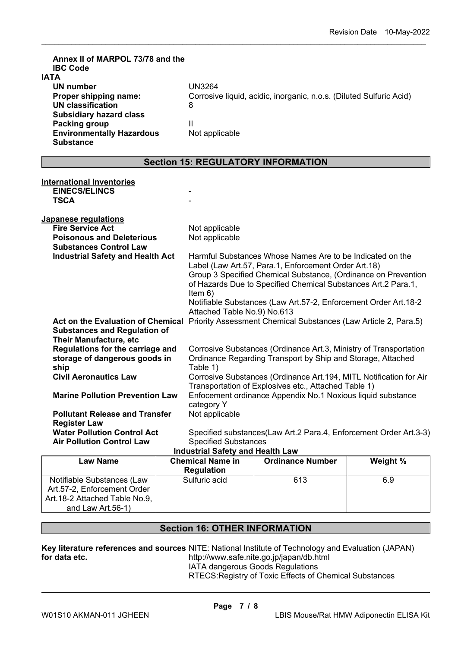| Annex II of MARPOL 73/78 and the<br><b>IBC Code</b><br><b>IATA</b><br>UN number<br>Proper shipping name:<br><b>UN classification</b><br><b>Subsidiary hazard class</b><br><b>Packing group</b><br><b>Environmentally Hazardous</b><br><b>Substance</b> |  | <b>UN3264</b><br>8<br>Ш<br>Not applicable                                                                                                                                                                                                                                                                                                                                                                                                                                                                    | Corrosive liquid, acidic, inorganic, n.o.s. (Diluted Sulfuric Acid) |          |  |  |  |
|--------------------------------------------------------------------------------------------------------------------------------------------------------------------------------------------------------------------------------------------------------|--|--------------------------------------------------------------------------------------------------------------------------------------------------------------------------------------------------------------------------------------------------------------------------------------------------------------------------------------------------------------------------------------------------------------------------------------------------------------------------------------------------------------|---------------------------------------------------------------------|----------|--|--|--|
| <b>Section 15: REGULATORY INFORMATION</b>                                                                                                                                                                                                              |  |                                                                                                                                                                                                                                                                                                                                                                                                                                                                                                              |                                                                     |          |  |  |  |
| <b>International Inventories</b><br><b>EINECS/ELINCS</b><br><b>TSCA</b>                                                                                                                                                                                |  |                                                                                                                                                                                                                                                                                                                                                                                                                                                                                                              |                                                                     |          |  |  |  |
| Japanese regulations<br><b>Fire Service Act</b><br><b>Poisonous and Deleterious</b><br><b>Substances Control Law</b><br><b>Industrial Safety and Health Act</b>                                                                                        |  | Not applicable<br>Not applicable<br>Harmful Substances Whose Names Are to be Indicated on the<br>Label (Law Art.57, Para.1, Enforcement Order Art.18)<br>Group 3 Specified Chemical Substance, (Ordinance on Prevention<br>of Hazards Due to Specified Chemical Substances Art.2 Para.1,<br>Item $6)$<br>Notifiable Substances (Law Art.57-2, Enforcement Order Art.18-2<br>Attached Table No.9) No.613<br>Act on the Evaluation of Chemical Priority Assessment Chemical Substances (Law Article 2, Para.5) |                                                                     |          |  |  |  |
| <b>Substances and Regulation of</b><br><b>Their Manufacture, etc</b><br>Regulations for the carriage and<br>storage of dangerous goods in<br>ship                                                                                                      |  | Corrosive Substances (Ordinance Art.3, Ministry of Transportation<br>Ordinance Regarding Transport by Ship and Storage, Attached<br>Table 1)                                                                                                                                                                                                                                                                                                                                                                 |                                                                     |          |  |  |  |
| <b>Civil Aeronautics Law</b><br><b>Marine Pollution Prevention Law</b>                                                                                                                                                                                 |  | Corrosive Substances (Ordinance Art.194, MITL Notification for Air<br>Transportation of Explosives etc., Attached Table 1)<br>Enfocement ordinance Appendix No.1 Noxious liquid substance<br>category Y                                                                                                                                                                                                                                                                                                      |                                                                     |          |  |  |  |
| <b>Pollutant Release and Transfer</b><br><b>Register Law</b><br><b>Water Pollution Control Act</b><br><b>Air Pollution Control Law</b>                                                                                                                 |  | Not applicable<br><b>Specified Substances</b><br><b>Industrial Safety and Health Law</b>                                                                                                                                                                                                                                                                                                                                                                                                                     | Specified substances(Law Art.2 Para.4, Enforcement Order Art.3-3)   |          |  |  |  |
| <b>Law Name</b>                                                                                                                                                                                                                                        |  | <b>Chemical Name in</b><br><b>Regulation</b>                                                                                                                                                                                                                                                                                                                                                                                                                                                                 | <b>Ordinance Number</b>                                             | Weight % |  |  |  |
| Notifiable Substances (Law<br>Art.57-2, Enforcement Order<br>Art.18-2 Attached Table No.9,                                                                                                                                                             |  | Sulfuric acid                                                                                                                                                                                                                                                                                                                                                                                                                                                                                                | 613                                                                 | 6.9      |  |  |  |

\_\_\_\_\_\_\_\_\_\_\_\_\_\_\_\_\_\_\_\_\_\_\_\_\_\_\_\_\_\_\_\_\_\_\_\_\_\_\_\_\_\_\_\_\_\_\_\_\_\_\_\_\_\_\_\_\_\_\_\_\_\_\_\_\_\_\_\_\_\_\_\_\_\_\_\_\_\_\_\_\_\_\_\_\_\_\_\_\_\_

# **Section 16: OTHER INFORMATION**

**Key literature references and sources**  NITE: National Institute of Technology and Evaluation (JAPAN) **for data etc.**  http://www.safe.nite.go.jp/japan/db.html

IATA dangerous Goods Regulations

RTECS:Registry of Toxic Effects of Chemical Substances

and Law Art.56-1)